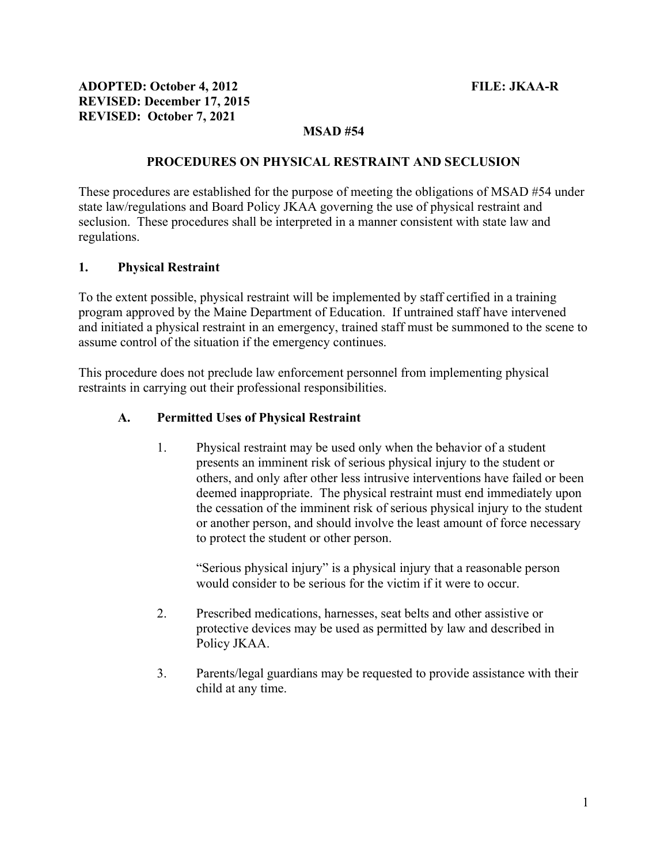# MSAD #54

#### PROCEDURES ON PHYSICAL RESTRAINT AND SECLUSION

These procedures are established for the purpose of meeting the obligations of MSAD #54 under state law/regulations and Board Policy JKAA governing the use of physical restraint and seclusion. These procedures shall be interpreted in a manner consistent with state law and regulations.

#### 1. Physical Restraint

To the extent possible, physical restraint will be implemented by staff certified in a training program approved by the Maine Department of Education. If untrained staff have intervened and initiated a physical restraint in an emergency, trained staff must be summoned to the scene to assume control of the situation if the emergency continues.

This procedure does not preclude law enforcement personnel from implementing physical restraints in carrying out their professional responsibilities.

### A. Permitted Uses of Physical Restraint

1. Physical restraint may be used only when the behavior of a student presents an imminent risk of serious physical injury to the student or others, and only after other less intrusive interventions have failed or been deemed inappropriate. The physical restraint must end immediately upon the cessation of the imminent risk of serious physical injury to the student or another person, and should involve the least amount of force necessary to protect the student or other person.

"Serious physical injury" is a physical injury that a reasonable person would consider to be serious for the victim if it were to occur.

- 2. Prescribed medications, harnesses, seat belts and other assistive or protective devices may be used as permitted by law and described in Policy JKAA.
- 3. Parents/legal guardians may be requested to provide assistance with their child at any time.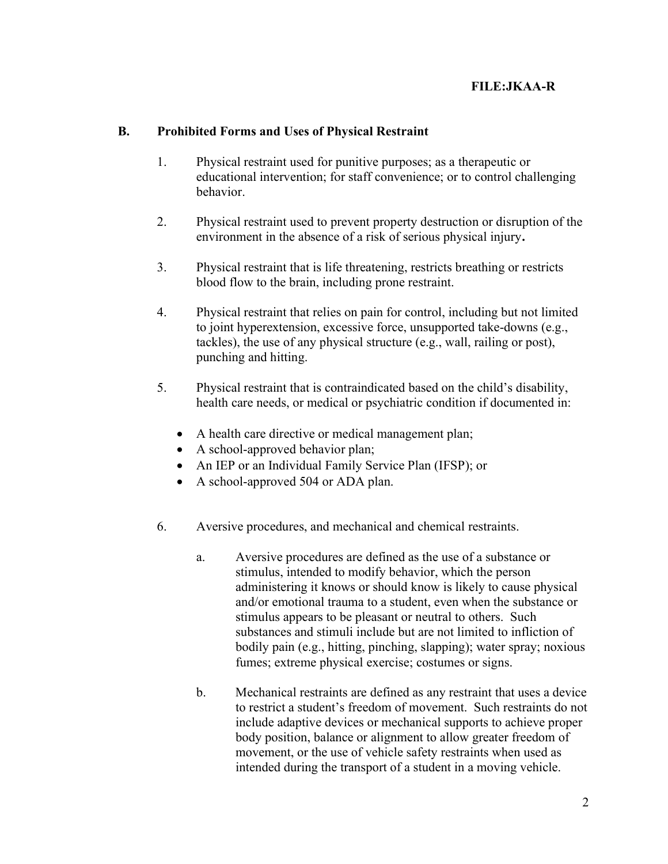### B. Prohibited Forms and Uses of Physical Restraint

- 1. Physical restraint used for punitive purposes; as a therapeutic or educational intervention; for staff convenience; or to control challenging behavior.
- 2. Physical restraint used to prevent property destruction or disruption of the environment in the absence of a risk of serious physical injury.
- 3. Physical restraint that is life threatening, restricts breathing or restricts blood flow to the brain, including prone restraint.
- 4. Physical restraint that relies on pain for control, including but not limited to joint hyperextension, excessive force, unsupported take-downs (e.g., tackles), the use of any physical structure (e.g., wall, railing or post), punching and hitting.
- 5. Physical restraint that is contraindicated based on the child's disability, health care needs, or medical or psychiatric condition if documented in:
	- A health care directive or medical management plan;
	- A school-approved behavior plan;
	- An IEP or an Individual Family Service Plan (IFSP); or
	- A school-approved 504 or ADA plan.
- 6. Aversive procedures, and mechanical and chemical restraints.
	- a. Aversive procedures are defined as the use of a substance or stimulus, intended to modify behavior, which the person administering it knows or should know is likely to cause physical and/or emotional trauma to a student, even when the substance or stimulus appears to be pleasant or neutral to others. Such substances and stimuli include but are not limited to infliction of bodily pain (e.g., hitting, pinching, slapping); water spray; noxious fumes; extreme physical exercise; costumes or signs.
	- b. Mechanical restraints are defined as any restraint that uses a device to restrict a student's freedom of movement. Such restraints do not include adaptive devices or mechanical supports to achieve proper body position, balance or alignment to allow greater freedom of movement, or the use of vehicle safety restraints when used as intended during the transport of a student in a moving vehicle.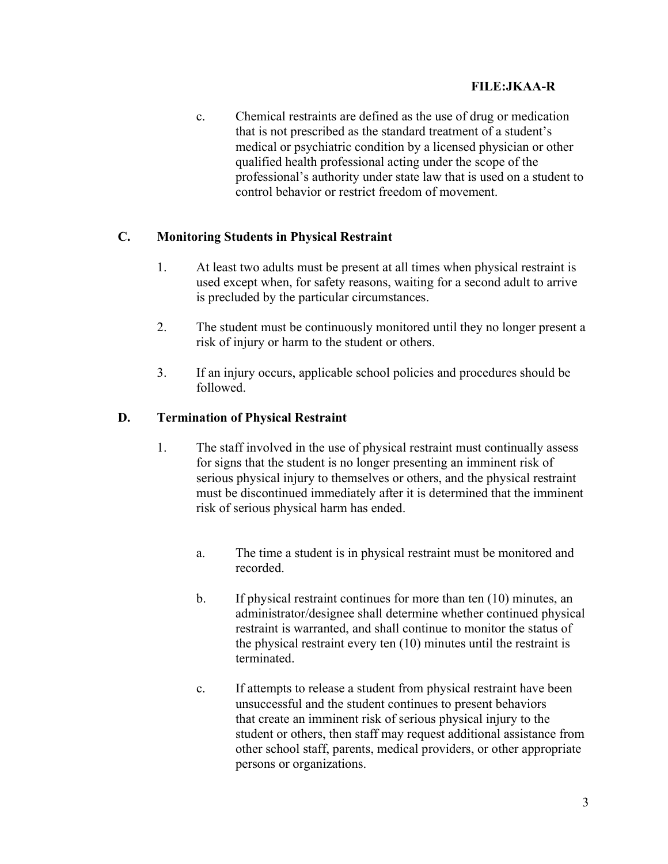c. Chemical restraints are defined as the use of drug or medication that is not prescribed as the standard treatment of a student's medical or psychiatric condition by a licensed physician or other qualified health professional acting under the scope of the professional's authority under state law that is used on a student to control behavior or restrict freedom of movement.

## C. Monitoring Students in Physical Restraint

- 1. At least two adults must be present at all times when physical restraint is used except when, for safety reasons, waiting for a second adult to arrive is precluded by the particular circumstances.
- 2. The student must be continuously monitored until they no longer present a risk of injury or harm to the student or others.
- 3. If an injury occurs, applicable school policies and procedures should be followed.

## D. Termination of Physical Restraint

- 1. The staff involved in the use of physical restraint must continually assess for signs that the student is no longer presenting an imminent risk of serious physical injury to themselves or others, and the physical restraint must be discontinued immediately after it is determined that the imminent risk of serious physical harm has ended.
	- a. The time a student is in physical restraint must be monitored and recorded.
	- b. If physical restraint continues for more than ten (10) minutes, an administrator/designee shall determine whether continued physical restraint is warranted, and shall continue to monitor the status of the physical restraint every ten (10) minutes until the restraint is terminated.
	- c. If attempts to release a student from physical restraint have been unsuccessful and the student continues to present behaviors that create an imminent risk of serious physical injury to the student or others, then staff may request additional assistance from other school staff, parents, medical providers, or other appropriate persons or organizations.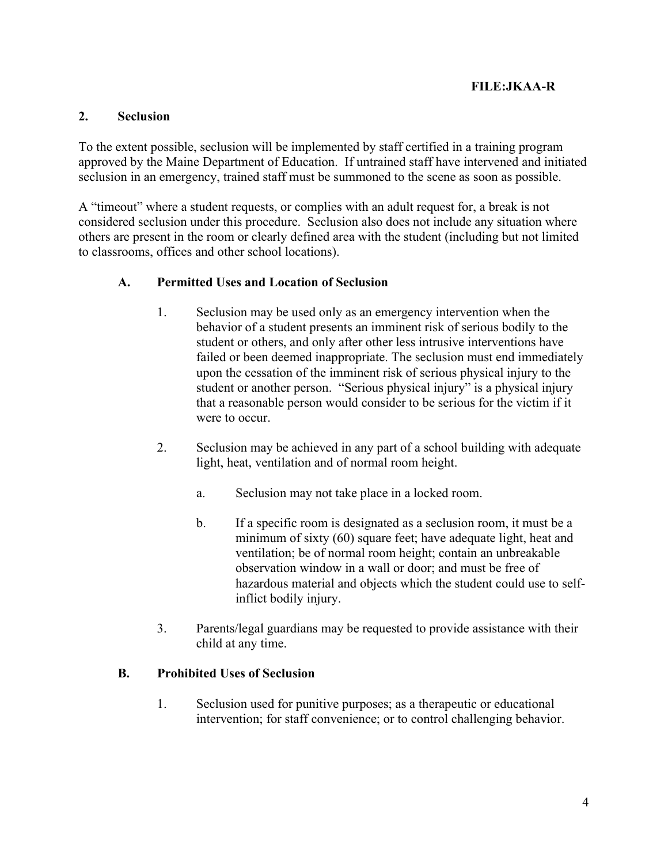### 2. Seclusion

To the extent possible, seclusion will be implemented by staff certified in a training program approved by the Maine Department of Education. If untrained staff have intervened and initiated seclusion in an emergency, trained staff must be summoned to the scene as soon as possible.

A "timeout" where a student requests, or complies with an adult request for, a break is not considered seclusion under this procedure. Seclusion also does not include any situation where others are present in the room or clearly defined area with the student (including but not limited to classrooms, offices and other school locations).

### A. Permitted Uses and Location of Seclusion

- 1. Seclusion may be used only as an emergency intervention when the behavior of a student presents an imminent risk of serious bodily to the student or others, and only after other less intrusive interventions have failed or been deemed inappropriate. The seclusion must end immediately upon the cessation of the imminent risk of serious physical injury to the student or another person. "Serious physical injury" is a physical injury that a reasonable person would consider to be serious for the victim if it were to occur.
- 2. Seclusion may be achieved in any part of a school building with adequate light, heat, ventilation and of normal room height.
	- a. Seclusion may not take place in a locked room.
	- b. If a specific room is designated as a seclusion room, it must be a minimum of sixty (60) square feet; have adequate light, heat and ventilation; be of normal room height; contain an unbreakable observation window in a wall or door; and must be free of hazardous material and objects which the student could use to selfinflict bodily injury.
- 3. Parents/legal guardians may be requested to provide assistance with their child at any time.

#### B. Prohibited Uses of Seclusion

1. Seclusion used for punitive purposes; as a therapeutic or educational intervention; for staff convenience; or to control challenging behavior.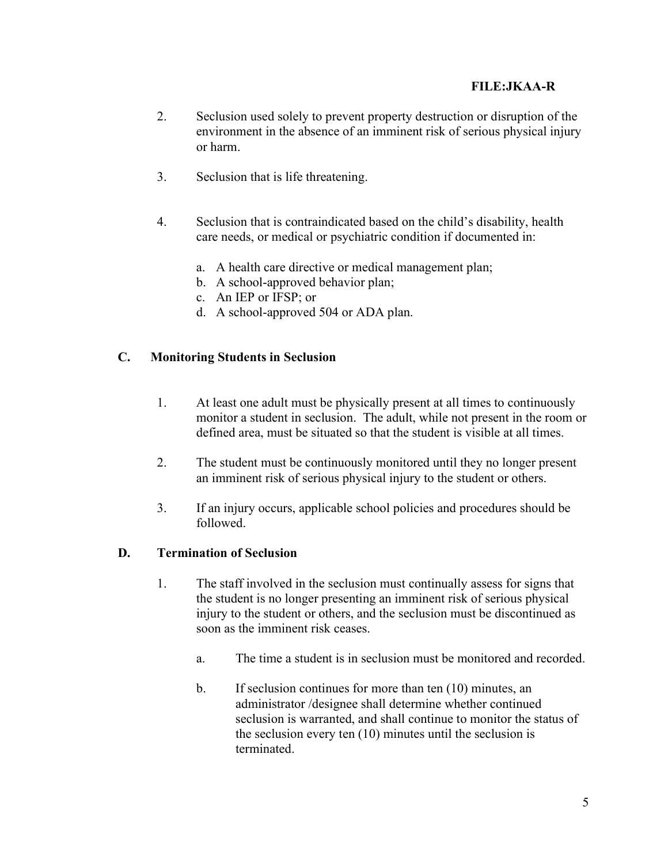- 2. Seclusion used solely to prevent property destruction or disruption of the environment in the absence of an imminent risk of serious physical injury or harm.
- 3. Seclusion that is life threatening.
- 4. Seclusion that is contraindicated based on the child's disability, health care needs, or medical or psychiatric condition if documented in:
	- a. A health care directive or medical management plan;
	- b. A school-approved behavior plan;
	- c. An IEP or IFSP; or
	- d. A school-approved 504 or ADA plan.

### C. Monitoring Students in Seclusion

- 1. At least one adult must be physically present at all times to continuously monitor a student in seclusion. The adult, while not present in the room or defined area, must be situated so that the student is visible at all times.
- 2. The student must be continuously monitored until they no longer present an imminent risk of serious physical injury to the student or others.
- 3. If an injury occurs, applicable school policies and procedures should be followed.

### D. Termination of Seclusion

- 1. The staff involved in the seclusion must continually assess for signs that the student is no longer presenting an imminent risk of serious physical injury to the student or others, and the seclusion must be discontinued as soon as the imminent risk ceases.
	- a. The time a student is in seclusion must be monitored and recorded.
	- b. If seclusion continues for more than ten (10) minutes, an administrator /designee shall determine whether continued seclusion is warranted, and shall continue to monitor the status of the seclusion every ten (10) minutes until the seclusion is terminated.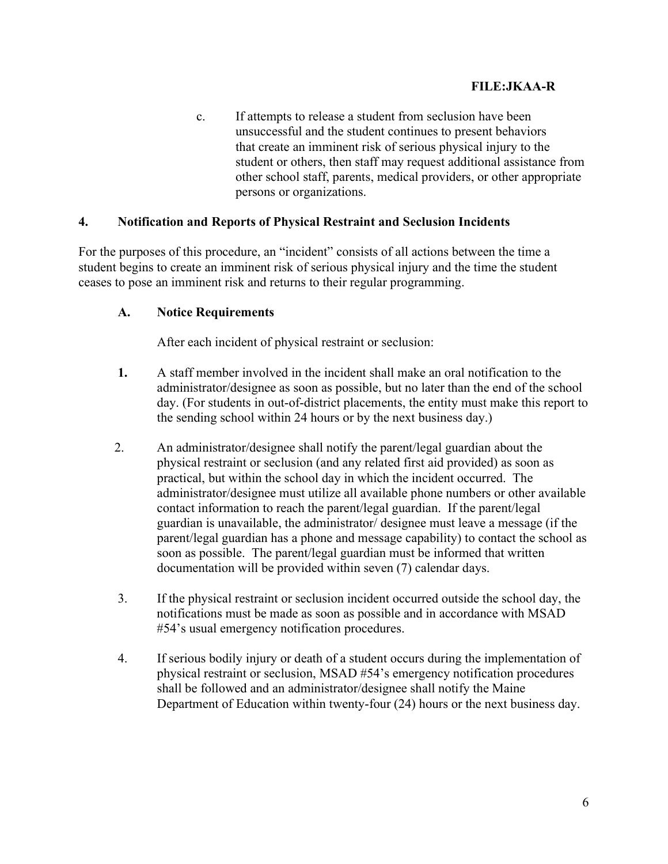c. If attempts to release a student from seclusion have been unsuccessful and the student continues to present behaviors that create an imminent risk of serious physical injury to the student or others, then staff may request additional assistance from other school staff, parents, medical providers, or other appropriate persons or organizations.

### 4. Notification and Reports of Physical Restraint and Seclusion Incidents

For the purposes of this procedure, an "incident" consists of all actions between the time a student begins to create an imminent risk of serious physical injury and the time the student ceases to pose an imminent risk and returns to their regular programming.

### A. Notice Requirements

After each incident of physical restraint or seclusion:

- 1. A staff member involved in the incident shall make an oral notification to the administrator/designee as soon as possible, but no later than the end of the school day. (For students in out-of-district placements, the entity must make this report to the sending school within 24 hours or by the next business day.)
- 2. An administrator/designee shall notify the parent/legal guardian about the physical restraint or seclusion (and any related first aid provided) as soon as practical, but within the school day in which the incident occurred. The administrator/designee must utilize all available phone numbers or other available contact information to reach the parent/legal guardian. If the parent/legal guardian is unavailable, the administrator/ designee must leave a message (if the parent/legal guardian has a phone and message capability) to contact the school as soon as possible. The parent/legal guardian must be informed that written documentation will be provided within seven (7) calendar days.
- 3. If the physical restraint or seclusion incident occurred outside the school day, the notifications must be made as soon as possible and in accordance with MSAD #54's usual emergency notification procedures.
- 4. If serious bodily injury or death of a student occurs during the implementation of physical restraint or seclusion, MSAD #54's emergency notification procedures shall be followed and an administrator/designee shall notify the Maine Department of Education within twenty-four (24) hours or the next business day.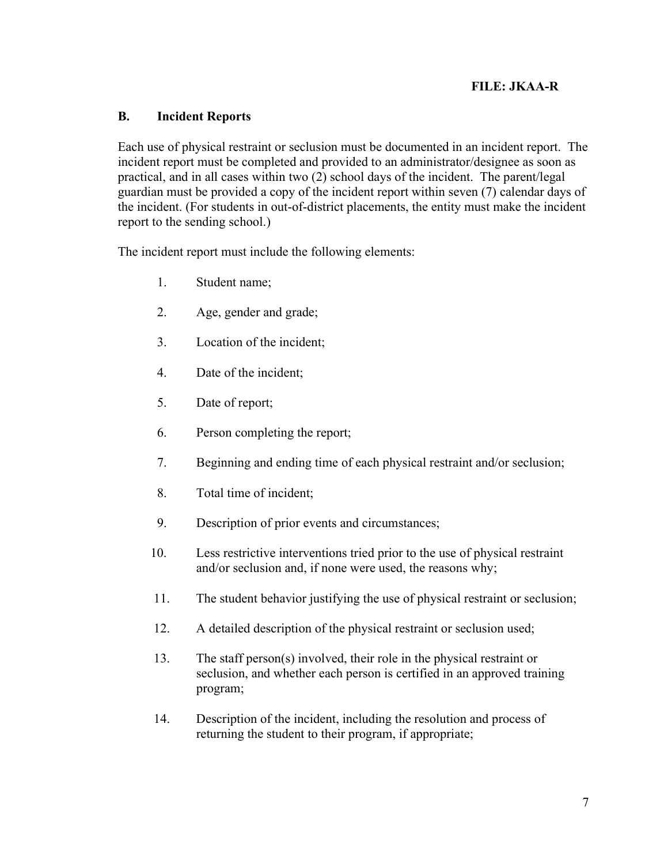### B. Incident Reports

Each use of physical restraint or seclusion must be documented in an incident report. The incident report must be completed and provided to an administrator/designee as soon as practical, and in all cases within two (2) school days of the incident. The parent/legal guardian must be provided a copy of the incident report within seven (7) calendar days of the incident. (For students in out-of-district placements, the entity must make the incident report to the sending school.)

The incident report must include the following elements:

- 1. Student name;
- 2. Age, gender and grade;
- 3. Location of the incident;
- 4. Date of the incident;
- 5. Date of report;
- 6. Person completing the report;
- 7. Beginning and ending time of each physical restraint and/or seclusion;
- 8. Total time of incident;
- 9. Description of prior events and circumstances;
- 10. Less restrictive interventions tried prior to the use of physical restraint and/or seclusion and, if none were used, the reasons why;
- 11. The student behavior justifying the use of physical restraint or seclusion;
- 12. A detailed description of the physical restraint or seclusion used;
- 13. The staff person(s) involved, their role in the physical restraint or seclusion, and whether each person is certified in an approved training program;
- 14. Description of the incident, including the resolution and process of returning the student to their program, if appropriate;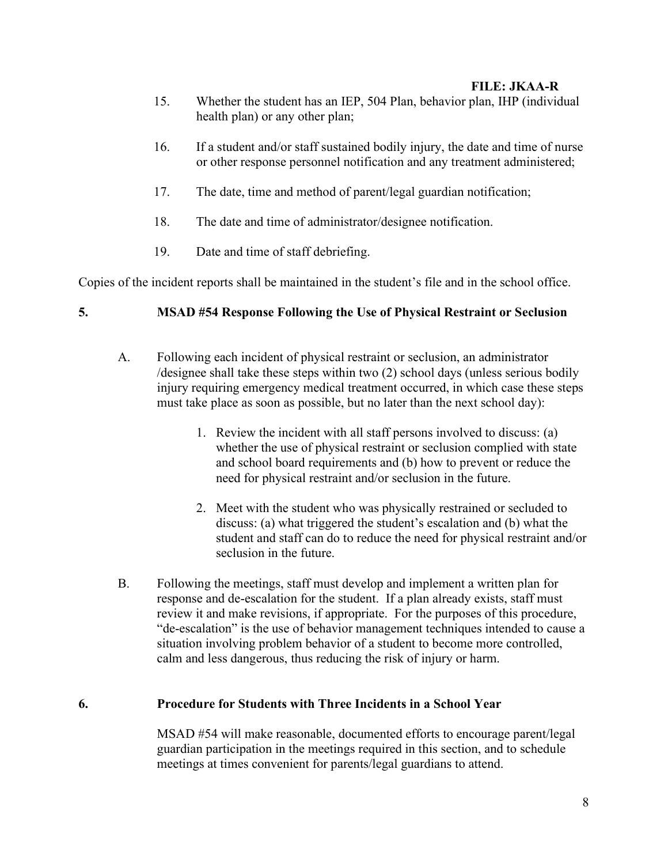- 15. Whether the student has an IEP, 504 Plan, behavior plan, IHP (individual health plan) or any other plan;
- 16. If a student and/or staff sustained bodily injury, the date and time of nurse or other response personnel notification and any treatment administered;
- 17. The date, time and method of parent/legal guardian notification;
- 18. The date and time of administrator/designee notification.
- 19. Date and time of staff debriefing.

Copies of the incident reports shall be maintained in the student's file and in the school office.

### 5. MSAD #54 Response Following the Use of Physical Restraint or Seclusion

- A. Following each incident of physical restraint or seclusion, an administrator /designee shall take these steps within two (2) school days (unless serious bodily injury requiring emergency medical treatment occurred, in which case these steps must take place as soon as possible, but no later than the next school day):
	- 1. Review the incident with all staff persons involved to discuss: (a) whether the use of physical restraint or seclusion complied with state and school board requirements and (b) how to prevent or reduce the need for physical restraint and/or seclusion in the future.
	- 2. Meet with the student who was physically restrained or secluded to discuss: (a) what triggered the student's escalation and (b) what the student and staff can do to reduce the need for physical restraint and/or seclusion in the future.
- B. Following the meetings, staff must develop and implement a written plan for response and de-escalation for the student. If a plan already exists, staff must review it and make revisions, if appropriate. For the purposes of this procedure, "de-escalation" is the use of behavior management techniques intended to cause a situation involving problem behavior of a student to become more controlled, calm and less dangerous, thus reducing the risk of injury or harm.

#### 6. Procedure for Students with Three Incidents in a School Year

 MSAD #54 will make reasonable, documented efforts to encourage parent/legal guardian participation in the meetings required in this section, and to schedule meetings at times convenient for parents/legal guardians to attend.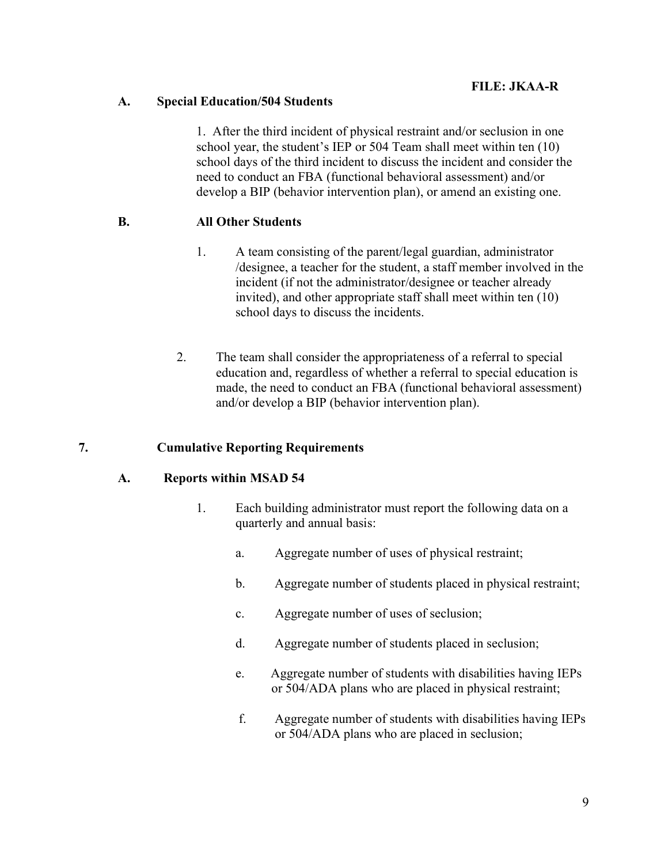### A. Special Education/504 Students

 1. After the third incident of physical restraint and/or seclusion in one school year, the student's IEP or 504 Team shall meet within ten (10) school days of the third incident to discuss the incident and consider the need to conduct an FBA (functional behavioral assessment) and/or develop a BIP (behavior intervention plan), or amend an existing one.

### B. All Other Students

- 1. A team consisting of the parent/legal guardian, administrator /designee, a teacher for the student, a staff member involved in the incident (if not the administrator/designee or teacher already invited), and other appropriate staff shall meet within ten (10) school days to discuss the incidents.
- 2. The team shall consider the appropriateness of a referral to special education and, regardless of whether a referral to special education is made, the need to conduct an FBA (functional behavioral assessment) and/or develop a BIP (behavior intervention plan).

#### 7. Cumulative Reporting Requirements

#### A. Reports within MSAD 54

- 1. Each building administrator must report the following data on a quarterly and annual basis:
	- a. Aggregate number of uses of physical restraint;
	- b. Aggregate number of students placed in physical restraint;
	- c. Aggregate number of uses of seclusion;
	- d. Aggregate number of students placed in seclusion;
	- e. Aggregate number of students with disabilities having IEPs or 504/ADA plans who are placed in physical restraint;
	- f. Aggregate number of students with disabilities having IEPs or 504/ADA plans who are placed in seclusion;